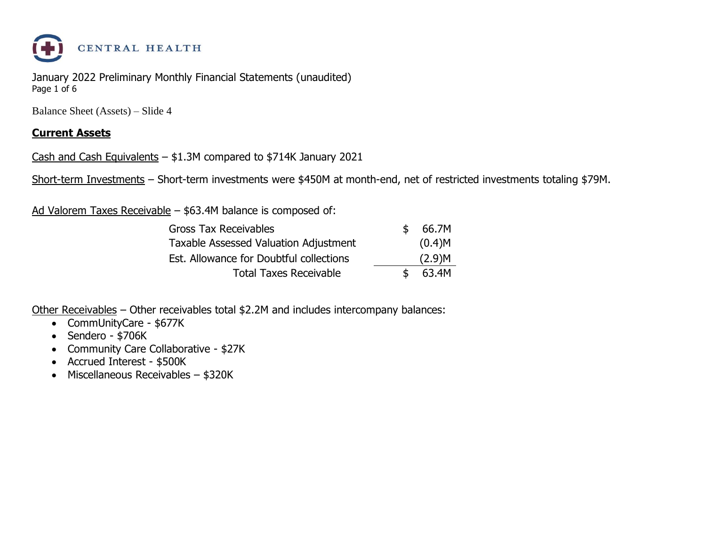

January 2022 Preliminary Monthly Financial Statements (unaudited) Page 1 of 6

Balance Sheet (Assets) – Slide 4

#### **Current Assets**

Cash and Cash Equivalents – \$1.3M compared to \$714K January 2021

Short-term Investments – Short-term investments were \$450M at month-end, net of restricted investments totaling \$79M.

Ad Valorem Taxes Receivable – \$63.4M balance is composed of:

| <b>Gross Tax Receivables</b>            | \$. | 66.7M  |
|-----------------------------------------|-----|--------|
| Taxable Assessed Valuation Adjustment   |     | (0.4)M |
| Est. Allowance for Doubtful collections |     | (2.9)M |
| <b>Total Taxes Receivable</b>           | \$  | 63.4M  |

Other Receivables – Other receivables total \$2.2M and includes intercompany balances:

- CommUnityCare \$677K
- Sendero \$706K
- Community Care Collaborative \$27K
- Accrued Interest \$500K
- Miscellaneous Receivables \$320K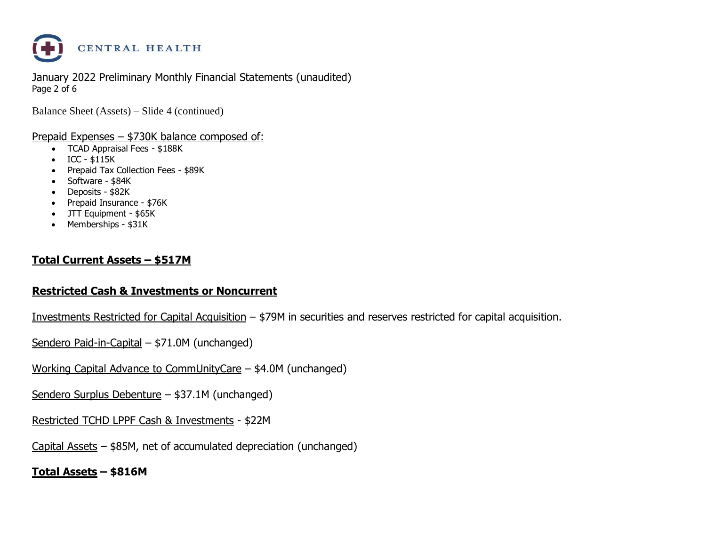

January 2022 Preliminary Monthly Financial Statements (unaudited) Page 2 of 6

Balance Sheet (Assets) – Slide 4 (continued)

#### Prepaid Expenses – \$730K balance composed of:

- TCAD Appraisal Fees \$188K
- ICC \$115K
- Prepaid Tax Collection Fees \$89K
- Software \$84K
- Deposits \$82K
- Prepaid Insurance \$76K
- JTT Equipment \$65K
- Memberships \$31K

#### **Total Current Assets – \$517M**

#### **Restricted Cash & Investments or Noncurrent**

Investments Restricted for Capital Acquisition – \$79M in securities and reserves restricted for capital acquisition.

Sendero Paid-in-Capital – \$71.0M (unchanged)

Working Capital Advance to CommUnityCare – \$4.0M (unchanged)

Sendero Surplus Debenture – \$37.1M (unchanged)

Restricted TCHD LPPF Cash & Investments - \$22M

Capital Assets – \$85M, net of accumulated depreciation (unchanged)

**Total Assets – \$816M**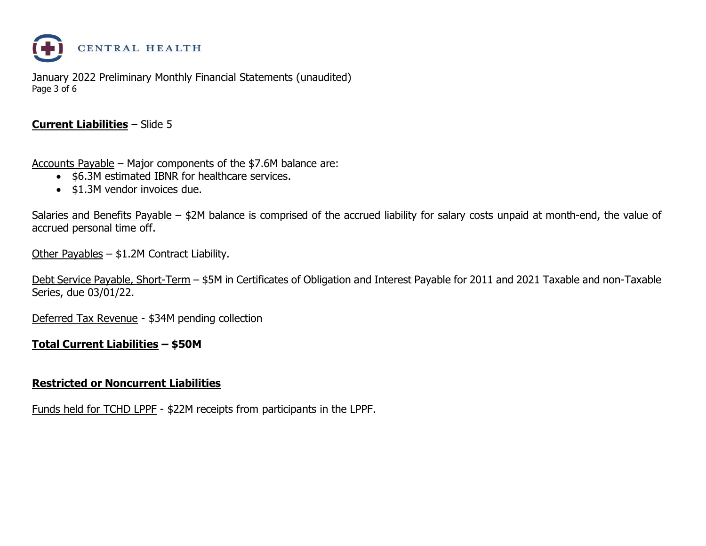

January 2022 Preliminary Monthly Financial Statements (unaudited) Page 3 of 6

#### **Current Liabilities** – Slide 5

Accounts Payable – Major components of the \$7.6M balance are:

- \$6.3M estimated IBNR for healthcare services.
- \$1.3M vendor invoices due.

Salaries and Benefits Payable – \$2M balance is comprised of the accrued liability for salary costs unpaid at month-end, the value of accrued personal time off.

Other Payables – \$1.2M Contract Liability.

Debt Service Payable, Short-Term – \$5M in Certificates of Obligation and Interest Payable for 2011 and 2021 Taxable and non-Taxable Series, due 03/01/22.

Deferred Tax Revenue - \$34M pending collection

#### **Total Current Liabilities – \$50M**

#### **Restricted or Noncurrent Liabilities**

Funds held for TCHD LPPF - \$22M receipts from participants in the LPPF.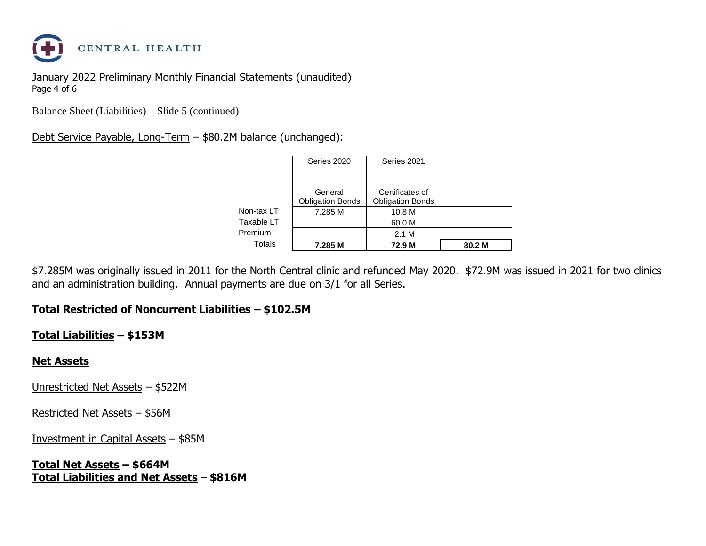

January 2022 Preliminary Monthly Financial Statements (unaudited) Page 4 of 6

Balance Sheet (Liabilities) – Slide 5 (continued)

#### Debt Service Payable, Long-Term – \$80.2M balance (unchanged):

|            | Series 2020                        | Series 2021                                |        |
|------------|------------------------------------|--------------------------------------------|--------|
|            | General<br><b>Obligation Bonds</b> | Certificates of<br><b>Obligation Bonds</b> |        |
| Non-tax LT | 7.285 M                            | 10.8 M                                     |        |
| Taxable LT |                                    | 60.0 M                                     |        |
| Premium    |                                    | 2.1 M                                      |        |
| Totals     | 7.285 M                            | 72.9 M                                     | 80.2 M |

\$7.285M was originally issued in 2011 for the North Central clinic and refunded May 2020. \$72.9M was issued in 2021 for two clinics and an administration building. Annual payments are due on 3/1 for all Series.

#### **Total Restricted of Noncurrent Liabilities – \$102.5M**

#### **Total Liabilities – \$153M**

#### **Net Assets**

Unrestricted Net Assets – \$522M

Restricted Net Assets – \$56M

Investment in Capital Assets – \$85M

**Total Net Assets – \$664M Total Liabilities and Net Assets** – **\$816M**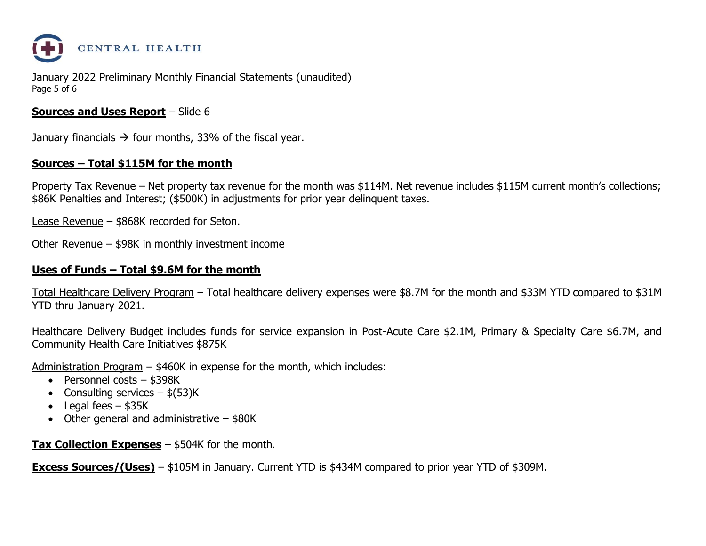

January 2022 Preliminary Monthly Financial Statements (unaudited) Page 5 of 6

#### **Sources and Uses Report** – Slide 6

January financials  $\rightarrow$  four months, 33% of the fiscal year.

#### **Sources – Total \$115M for the month**

Property Tax Revenue – Net property tax revenue for the month was \$114M. Net revenue includes \$115M current month's collections; \$86K Penalties and Interest; (\$500K) in adjustments for prior year delinquent taxes.

Lease Revenue – \$868K recorded for Seton.

Other Revenue – \$98K in monthly investment income

#### **Uses of Funds – Total \$9.6M for the month**

Total Healthcare Delivery Program – Total healthcare delivery expenses were \$8.7M for the month and \$33M YTD compared to \$31M YTD thru January 2021.

Healthcare Delivery Budget includes funds for service expansion in Post-Acute Care \$2.1M, Primary & Specialty Care \$6.7M, and Community Health Care Initiatives \$875K

Administration Program – \$460K in expense for the month, which includes:

- Personnel costs \$398K
- Consulting services  $-$  \$(53)K
- Legal fees  $-$  \$35K
- Other general and administrative \$80K

**Tax Collection Expenses** – \$504K for the month.

**Excess Sources/(Uses)** – \$105M in January. Current YTD is \$434M compared to prior year YTD of \$309M.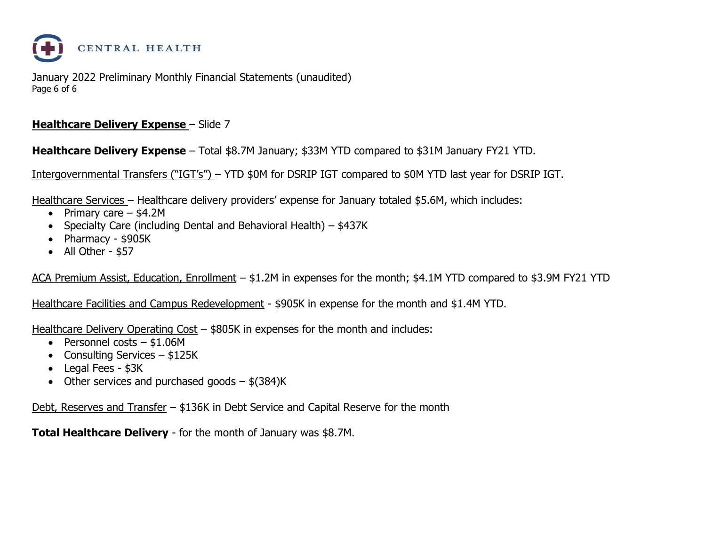

January 2022 Preliminary Monthly Financial Statements (unaudited) Page 6 of 6

#### **Healthcare Delivery Expense - Slide 7**

**Healthcare Delivery Expense** – Total \$8.7M January; \$33M YTD compared to \$31M January FY21 YTD.

Intergovernmental Transfers ("IGT's") – YTD \$0M for DSRIP IGT compared to \$0M YTD last year for DSRIP IGT.

Healthcare Services – Healthcare delivery providers' expense for January totaled \$5.6M, which includes:

- Primary care  $-$  \$4.2M
- Specialty Care (including Dental and Behavioral Health) \$437K
- Pharmacy \$905K
- All Other \$57

ACA Premium Assist, Education, Enrollment – \$1.2M in expenses for the month; \$4.1M YTD compared to \$3.9M FY21 YTD

Healthcare Facilities and Campus Redevelopment - \$905K in expense for the month and \$1.4M YTD.

Healthcare Delivery Operating Cost – \$805K in expenses for the month and includes:

- Personnel costs \$1.06M
- Consulting Services \$125K
- Legal Fees \$3K
- Other services and purchased goods  $-$  \$(384)K

Debt, Reserves and Transfer – \$136K in Debt Service and Capital Reserve for the month

**Total Healthcare Delivery** - for the month of January was \$8.7M.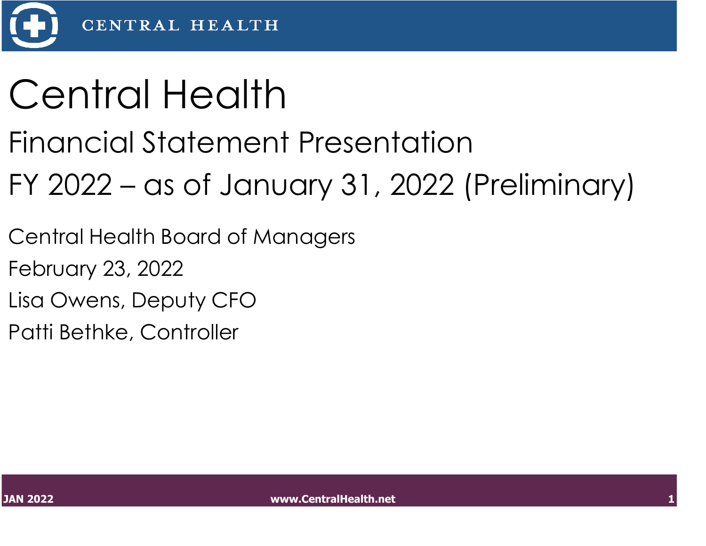

# Central Health

### Financial Statement Presentation

## FY 2022 – as of January 31, 2022 (Preliminary)

Central Health Board of Managers

February 23, 2022

Lisa Owens, Deputy CFO

Patti Bethke, Controller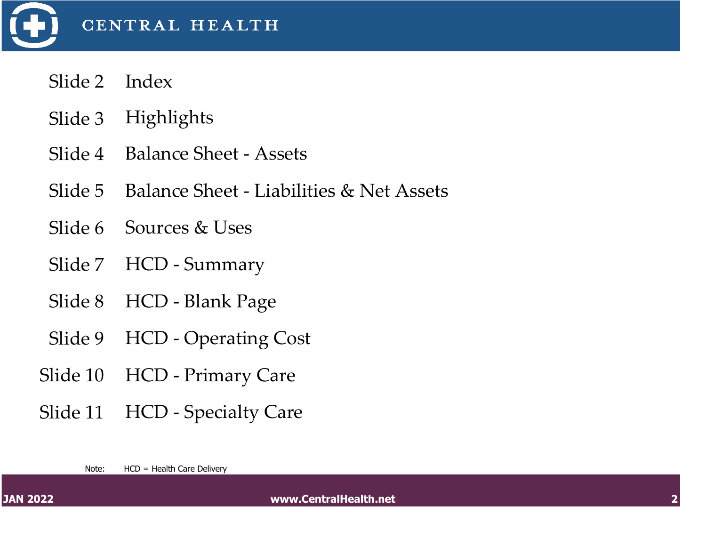

- Slide 2 Index
- Slide 3 Highlights
- Slide 4 Balance Sheet Assets
- Slide 5 Balance Sheet Liabilities & Net Assets
- Slide 6 Sources & Uses
- Slide 7 HCD Summary
- Slide 8 HCD Blank Page
- Slide 9 HCD Operating Cost
- Slide 10 HCD Primary Care
- Slide 11 HCD Specialty Care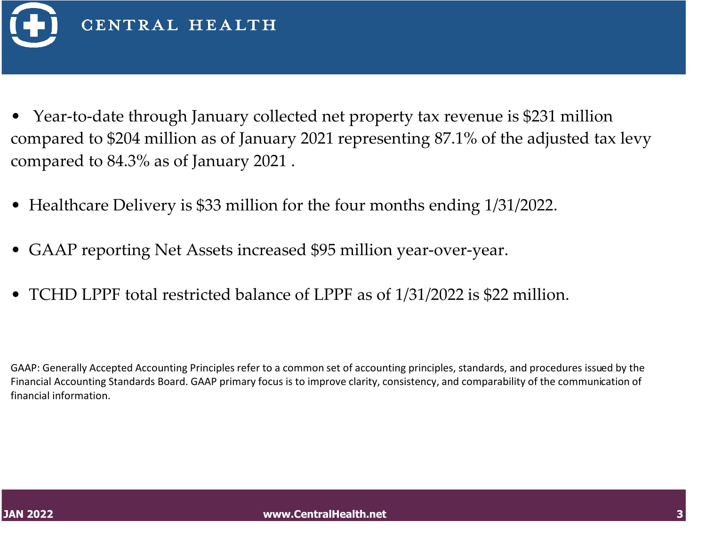

- Year-to-date through January collected net property tax revenue is \$231 million compared to \$204 million as of January 2021 representing 87.1% of the adjusted tax levy compared to 84.3% as of January 2021 .
- Healthcare Delivery is \$33 million for the four months ending 1/31/2022.
- GAAP reporting Net Assets increased \$95 million year-over-year.
- TCHD LPPF total restricted balance of LPPF as of 1/31/2022 is \$22 million.

GAAP: Generally Accepted Accounting Principles refer to a common set of accounting principles, standards, and procedures issued by the Financial Accounting Standards Board. GAAP primary focus is to improve clarity, consistency, and comparability of the communication of financial information.

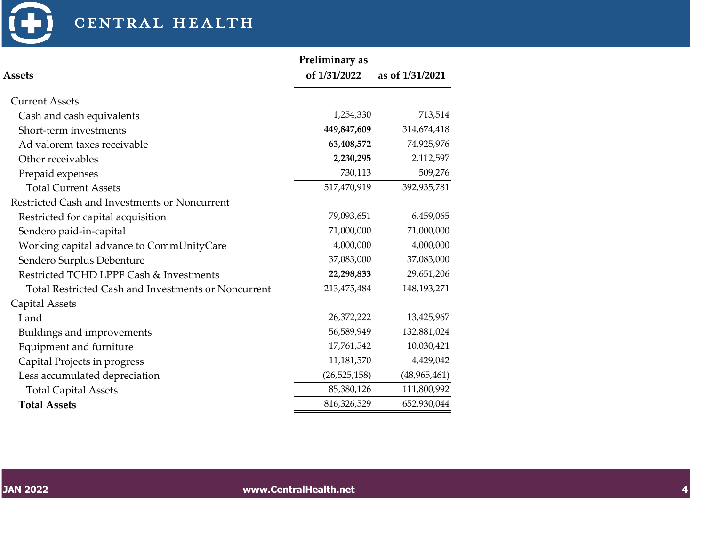

|                                                            | Preliminary as |                 |
|------------------------------------------------------------|----------------|-----------------|
| <b>Assets</b>                                              | of 1/31/2022   | as of 1/31/2021 |
| <b>Current Assets</b>                                      |                |                 |
| Cash and cash equivalents                                  | 1,254,330      | 713,514         |
| Short-term investments                                     | 449,847,609    | 314,674,418     |
| Ad valorem taxes receivable                                | 63,408,572     | 74,925,976      |
| Other receivables                                          | 2,230,295      | 2,112,597       |
| Prepaid expenses                                           | 730,113        | 509,276         |
| <b>Total Current Assets</b>                                | 517,470,919    | 392,935,781     |
| Restricted Cash and Investments or Noncurrent              |                |                 |
| Restricted for capital acquisition                         | 79,093,651     | 6,459,065       |
| Sendero paid-in-capital                                    | 71,000,000     | 71,000,000      |
| Working capital advance to CommUnityCare                   | 4,000,000      | 4,000,000       |
| Sendero Surplus Debenture                                  | 37,083,000     | 37,083,000      |
| Restricted TCHD LPPF Cash & Investments                    | 22,298,833     | 29,651,206      |
| <b>Total Restricted Cash and Investments or Noncurrent</b> | 213,475,484    | 148,193,271     |
| <b>Capital Assets</b>                                      |                |                 |
| Land                                                       | 26,372,222     | 13,425,967      |
| Buildings and improvements                                 | 56,589,949     | 132,881,024     |
| Equipment and furniture                                    | 17,761,542     | 10,030,421      |
| Capital Projects in progress                               | 11,181,570     | 4,429,042       |
| Less accumulated depreciation                              | (26, 525, 158) | (48, 965, 461)  |
| <b>Total Capital Assets</b>                                | 85,380,126     | 111,800,992     |
| <b>Total Assets</b>                                        | 816,326,529    | 652,930,044     |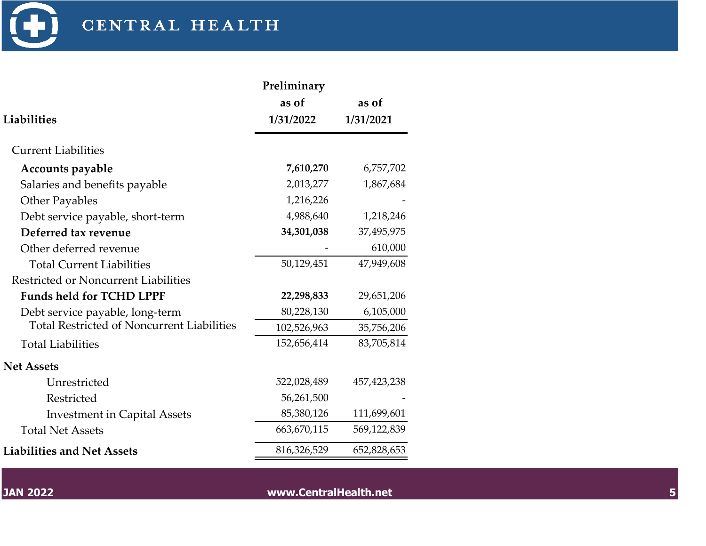

| Liabilities                                       | Preliminary<br>as of<br>1/31/2022 | as of<br>1/31/2021 |
|---------------------------------------------------|-----------------------------------|--------------------|
| <b>Current Liabilities</b>                        |                                   |                    |
| <b>Accounts payable</b>                           | 7,610,270                         | 6,757,702          |
| Salaries and benefits payable                     | 2,013,277                         | 1,867,684          |
| <b>Other Payables</b>                             | 1,216,226                         |                    |
| Debt service payable, short-term                  | 4,988,640                         | 1,218,246          |
| Deferred tax revenue                              | 34,301,038                        | 37,495,975         |
| Other deferred revenue                            |                                   | 610,000            |
| <b>Total Current Liabilities</b>                  | 50,129,451                        | 47,949,608         |
| Restricted or Noncurrent Liabilities              |                                   |                    |
| <b>Funds held for TCHD LPPF</b>                   | 22,298,833                        | 29,651,206         |
| Debt service payable, long-term                   | 80,228,130                        | 6,105,000          |
| <b>Total Restricted of Noncurrent Liabilities</b> | 102,526,963                       | 35,756,206         |
| <b>Total Liabilities</b>                          | 152,656,414                       | 83,705,814         |
| <b>Net Assets</b>                                 |                                   |                    |
| Unrestricted                                      | 522,028,489                       | 457, 423, 238      |
| Restricted                                        | 56,261,500                        |                    |
| <b>Investment in Capital Assets</b>               | 85,380,126                        | 111,699,601        |
| <b>Total Net Assets</b>                           | 663,670,115                       | 569,122,839        |
| <b>Liabilities and Net Assets</b>                 | 816,326,529                       | 652,828,653        |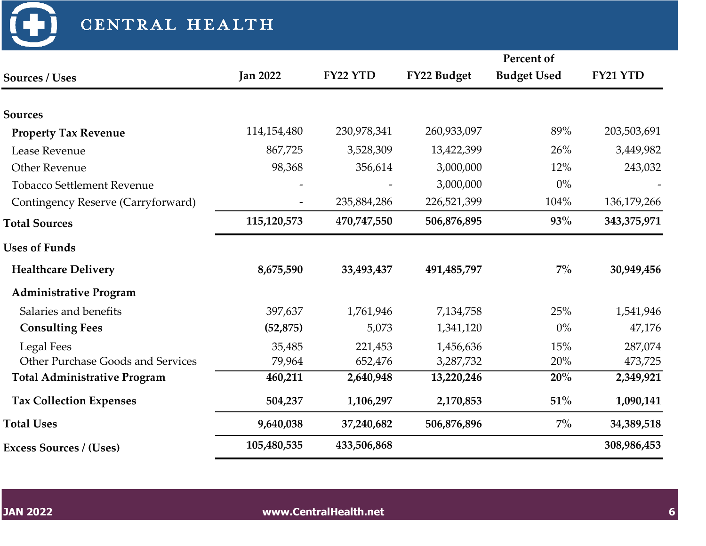|                                     |                 |             |             | Percent of         |             |
|-------------------------------------|-----------------|-------------|-------------|--------------------|-------------|
| <b>Sources / Uses</b>               | <b>Jan 2022</b> | FY22 YTD    | FY22 Budget | <b>Budget Used</b> | FY21 YTD    |
| <b>Sources</b>                      |                 |             |             |                    |             |
| <b>Property Tax Revenue</b>         | 114,154,480     | 230,978,341 | 260,933,097 | 89%                | 203,503,691 |
| Lease Revenue                       | 867,725         | 3,528,309   | 13,422,399  | 26%                | 3,449,982   |
| <b>Other Revenue</b>                | 98,368          | 356,614     | 3,000,000   | 12%                | 243,032     |
|                                     |                 |             |             |                    |             |
| <b>Tobacco Settlement Revenue</b>   |                 |             | 3,000,000   | $0\%$              |             |
| Contingency Reserve (Carryforward)  |                 | 235,884,286 | 226,521,399 | 104%               | 136,179,266 |
| <b>Total Sources</b>                | 115,120,573     | 470,747,550 | 506,876,895 | <b>93%</b>         | 343,375,971 |
| <b>Uses of Funds</b>                |                 |             |             |                    |             |
| <b>Healthcare Delivery</b>          | 8,675,590       | 33,493,437  | 491,485,797 | $7\%$              | 30,949,456  |
| <b>Administrative Program</b>       |                 |             |             |                    |             |
| Salaries and benefits               | 397,637         | 1,761,946   | 7,134,758   | 25%                | 1,541,946   |
| <b>Consulting Fees</b>              | (52, 875)       | 5,073       | 1,341,120   | $0\%$              | 47,176      |
| <b>Legal Fees</b>                   | 35,485          | 221,453     | 1,456,636   | 15%                | 287,074     |
| Other Purchase Goods and Services   | 79,964          | 652,476     | 3,287,732   | 20%                | 473,725     |
| <b>Total Administrative Program</b> | 460,211         | 2,640,948   | 13,220,246  | 20%                | 2,349,921   |
| <b>Tax Collection Expenses</b>      | 504,237         | 1,106,297   | 2,170,853   | 51%                | 1,090,141   |
| <b>Total Uses</b>                   | 9,640,038       | 37,240,682  | 506,876,896 | $7\%$              | 34,389,518  |
| <b>Excess Sources / (Uses)</b>      | 105,480,535     | 433,506,868 |             |                    | 308,986,453 |

 $\bigoplus$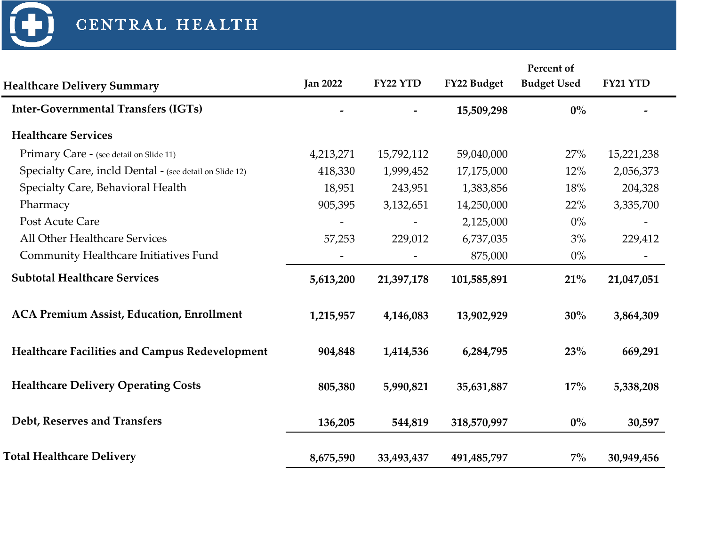$\bigoplus$ 

|                                                         |                 |            |             | Percent of         |            |
|---------------------------------------------------------|-----------------|------------|-------------|--------------------|------------|
| <b>Healthcare Delivery Summary</b>                      | <b>Jan 2022</b> | FY22 YTD   | FY22 Budget | <b>Budget Used</b> | FY21 YTD   |
| <b>Inter-Governmental Transfers (IGTs)</b>              |                 |            | 15,509,298  | $0\%$              |            |
| <b>Healthcare Services</b>                              |                 |            |             |                    |            |
| Primary Care - (see detail on Slide 11)                 | 4,213,271       | 15,792,112 | 59,040,000  | 27%                | 15,221,238 |
| Specialty Care, incld Dental - (see detail on Slide 12) | 418,330         | 1,999,452  | 17,175,000  | 12%                | 2,056,373  |
| Specialty Care, Behavioral Health                       | 18,951          | 243,951    | 1,383,856   | 18%                | 204,328    |
| Pharmacy                                                | 905,395         | 3,132,651  | 14,250,000  | 22%                | 3,335,700  |
| Post Acute Care                                         |                 |            | 2,125,000   | $0\%$              |            |
| All Other Healthcare Services                           | 57,253          | 229,012    | 6,737,035   | 3%                 | 229,412    |
| Community Healthcare Initiatives Fund                   |                 |            | 875,000     | $0\%$              |            |
| <b>Subtotal Healthcare Services</b>                     | 5,613,200       | 21,397,178 | 101,585,891 | 21%                | 21,047,051 |
| <b>ACA Premium Assist, Education, Enrollment</b>        | 1,215,957       | 4,146,083  | 13,902,929  | 30%                | 3,864,309  |
| <b>Healthcare Facilities and Campus Redevelopment</b>   | 904,848         | 1,414,536  | 6,284,795   | 23%                | 669,291    |
| <b>Healthcare Delivery Operating Costs</b>              | 805,380         | 5,990,821  | 35,631,887  | $17\%$             | 5,338,208  |
| Debt, Reserves and Transfers                            | 136,205         | 544,819    | 318,570,997 | $0\%$              | 30,597     |
| <b>Total Healthcare Delivery</b>                        | 8,675,590       | 33,493,437 | 491,485,797 | $7\%$              | 30,949,456 |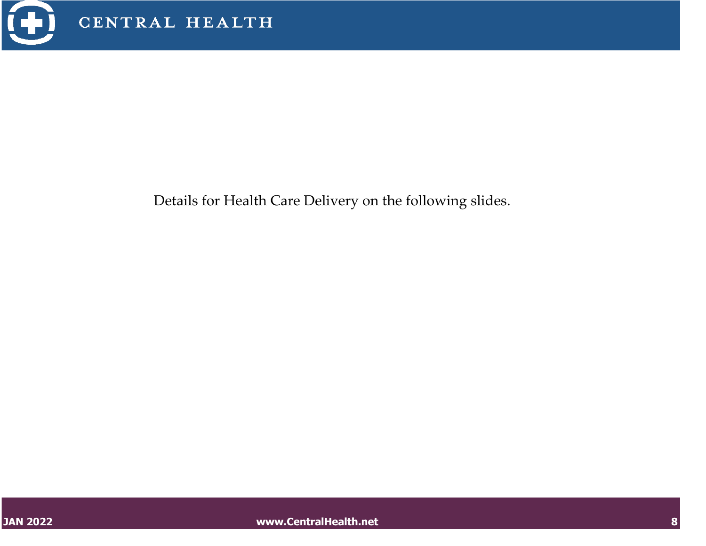

Details for Health Care Delivery on the following slides.

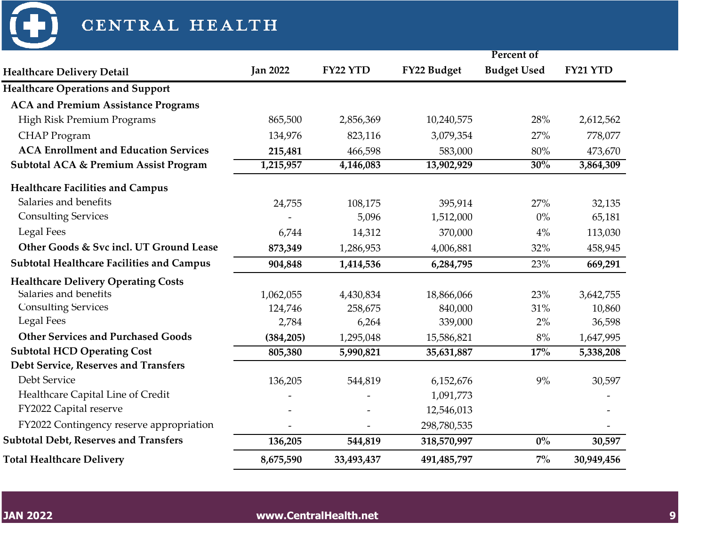

| CENTRAL HEALTH                                   |                              |            |             |                    |            |
|--------------------------------------------------|------------------------------|------------|-------------|--------------------|------------|
|                                                  |                              |            |             | Percent of         |            |
| <b>Healthcare Delivery Detail</b>                | <b>Jan 2022</b>              | FY22 YTD   | FY22 Budget | <b>Budget Used</b> | FY21 YTD   |
| <b>Healthcare Operations and Support</b>         |                              |            |             |                    |            |
| <b>ACA and Premium Assistance Programs</b>       |                              |            |             |                    |            |
| High Risk Premium Programs                       | 865,500                      | 2,856,369  | 10,240,575  | 28%                | 2,612,562  |
| <b>CHAP</b> Program                              | 134,976                      | 823,116    | 3,079,354   | 27%                | 778,077    |
| <b>ACA Enrollment and Education Services</b>     | 215,481                      | 466,598    | 583,000     | $80\%$             | 473,670    |
| <b>Subtotal ACA &amp; Premium Assist Program</b> | 1,215,957                    | 4,146,083  | 13,902,929  | 30%                | 3,864,309  |
| <b>Healthcare Facilities and Campus</b>          |                              |            |             |                    |            |
| Salaries and benefits                            | 24,755                       | 108,175    | 395,914     | 27%                | 32,135     |
| <b>Consulting Services</b>                       |                              | 5,096      | 1,512,000   | $0\%$              | 65,181     |
| <b>Legal Fees</b>                                | 6,744                        | 14,312     | 370,000     | 4%                 | 113,030    |
| Other Goods & Svc incl. UT Ground Lease          | 873,349                      | 1,286,953  | 4,006,881   | 32%                | 458,945    |
| <b>Subtotal Healthcare Facilities and Campus</b> | 904,848                      | 1,414,536  | 6,284,795   | 23%                | 669,291    |
| <b>Healthcare Delivery Operating Costs</b>       |                              |            |             |                    |            |
| Salaries and benefits                            | 1,062,055                    | 4,430,834  | 18,866,066  | 23%                | 3,642,755  |
| <b>Consulting Services</b>                       | 124,746                      | 258,675    | 840,000     | 31%                | 10,860     |
| <b>Legal Fees</b>                                | 2,784                        | 6,264      | 339,000     | 2%                 | 36,598     |
| <b>Other Services and Purchased Goods</b>        | (384, 205)                   | 1,295,048  | 15,586,821  | 8%                 | 1,647,995  |
| <b>Subtotal HCD Operating Cost</b>               | 805,380                      | 5,990,821  | 35,631,887  | 17%                | 5,338,208  |
| Debt Service, Reserves and Transfers             |                              |            |             |                    |            |
| Debt Service                                     | 136,205                      | 544,819    | 6,152,676   | 9%                 | 30,597     |
| Healthcare Capital Line of Credit                | $\qquad \qquad \blacksquare$ |            | 1,091,773   |                    |            |
| FY2022 Capital reserve                           |                              |            | 12,546,013  |                    |            |
| FY2022 Contingency reserve appropriation         |                              |            | 298,780,535 |                    |            |
| <b>Subtotal Debt, Reserves and Transfers</b>     | 136,205                      | 544,819    | 318,570,997 | $0\%$              | 30,597     |
| <b>Total Healthcare Delivery</b>                 | 8,675,590                    | 33,493,437 | 491,485,797 | $7\%$              | 30,949,456 |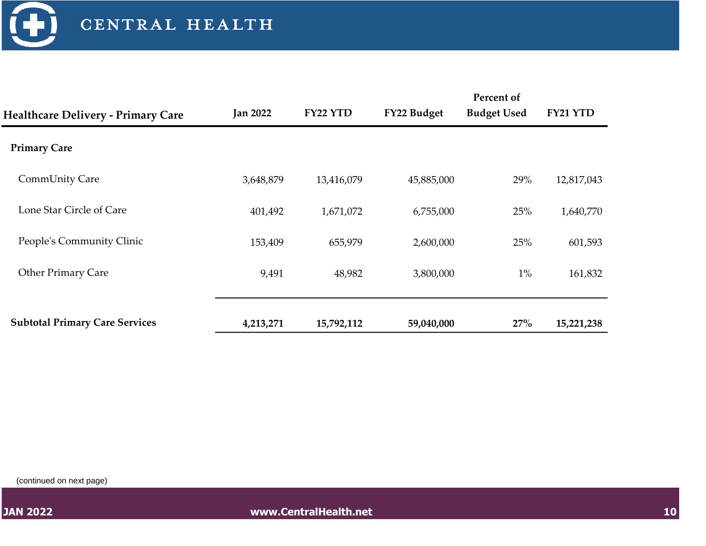

|                                           | <b>Jan 2022</b> | FY22 YTD   | FY22 Budget | Percent of<br><b>Budget Used</b> | FY21 YTD   |
|-------------------------------------------|-----------------|------------|-------------|----------------------------------|------------|
| <b>Healthcare Delivery - Primary Care</b> |                 |            |             |                                  |            |
| <b>Primary Care</b>                       |                 |            |             |                                  |            |
| <b>CommUnity Care</b>                     | 3,648,879       | 13,416,079 | 45,885,000  | 29%                              | 12,817,043 |
| Lone Star Circle of Care                  | 401,492         | 1,671,072  | 6,755,000   | 25%                              | 1,640,770  |
| People's Community Clinic                 | 153,409         | 655,979    | 2,600,000   | 25%                              | 601,593    |
| <b>Other Primary Care</b>                 | 9,491           | 48,982     | 3,800,000   | $1\%$                            | 161,832    |
|                                           |                 |            |             |                                  |            |
| <b>Subtotal Primary Care Services</b>     | 4,213,271       | 15,792,112 | 59,040,000  | 27%                              | 15,221,238 |

(continued on next page)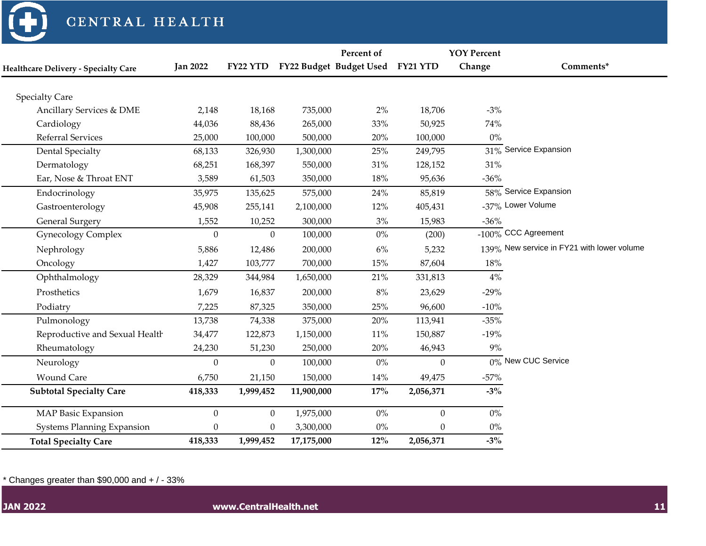

|                                             |                  |                  |            | Percent of                       |                | <b>YOY Percent</b> |                                            |
|---------------------------------------------|------------------|------------------|------------|----------------------------------|----------------|--------------------|--------------------------------------------|
| <b>Healthcare Delivery - Specialty Care</b> | <b>Jan 2022</b>  | FY22 YTD         |            | FY22 Budget Budget Used FY21 YTD |                | Change             | Comments*                                  |
|                                             |                  |                  |            |                                  |                |                    |                                            |
| <b>Specialty Care</b>                       |                  |                  |            |                                  |                |                    |                                            |
| Ancillary Services & DME                    | 2,148            | 18,168           | 735,000    | $2\%$                            | 18,706         | $-3%$              |                                            |
| Cardiology                                  | 44,036           | 88,436           | 265,000    | 33%                              | 50,925         | 74%                |                                            |
| Referral Services                           | 25,000           | 100,000          | 500,000    | $20\%$                           | 100,000        | 0%                 |                                            |
| <b>Dental Specialty</b>                     | 68,133           | 326,930          | 1,300,000  | 25%                              | 249,795        |                    | $31\%$ Service Expansion                   |
| Dermatology                                 | 68,251           | 168,397          | 550,000    | $31\%$                           | 128,152        | 31%                |                                            |
| Ear, Nose & Throat ENT                      | 3,589            | 61,503           | 350,000    | 18%                              | 95,636         | $-36%$             |                                            |
| Endocrinology                               | 35,975           | 135,625          | 575,000    | 24%                              | 85,819         |                    | 58% Service Expansion                      |
| Gastroenterology                            | 45,908           | 255,141          | 2,100,000  | 12%                              | 405,431        |                    | -37% Lower Volume                          |
| <b>General Surgery</b>                      | 1,552            | 10,252           | 300,000    | 3%                               | 15,983         | $-36%$             |                                            |
| <b>Gynecology Complex</b>                   | $\boldsymbol{0}$ | $\Omega$         | 100,000    | $0\%$                            | (200)          |                    | $-100\%$ CCC Agreement                     |
| Nephrology                                  | 5,886            | 12,486           | 200,000    | 6%                               | 5,232          |                    | 139% New service in FY21 with lower volume |
| Oncology                                    | 1,427            | 103,777          | 700,000    | 15%                              | 87,604         | 18%                |                                            |
| Ophthalmology                               | 28,329           | 344,984          | 1,650,000  | 21%                              | 331,813        | 4%                 |                                            |
| Prosthetics                                 | 1,679            | 16,837           | 200,000    | $8\%$                            | 23,629         | $-29%$             |                                            |
| Podiatry                                    | 7,225            | 87,325           | 350,000    | 25%                              | 96,600         | $-10%$             |                                            |
| Pulmonology                                 | 13,738           | 74,338           | 375,000    | 20%                              | 113,941        | $-35%$             |                                            |
| Reproductive and Sexual Health              | 34,477           | 122,873          | 1,150,000  | $11\%$                           | 150,887        | $-19%$             |                                            |
| Rheumatology                                | 24,230           | 51,230           | 250,000    | $20\%$                           | 46,943         | 9%                 |                                            |
| Neurology                                   | $\overline{0}$   | $\mathbf{0}$     | 100,000    | $0\%$                            | $\overline{0}$ |                    | 0% New CUC Service                         |
| <b>Wound Care</b>                           | 6,750            | 21,150           | 150,000    | 14%                              | 49,475         | $-57%$             |                                            |
| <b>Subtotal Specialty Care</b>              | 418,333          | 1,999,452        | 11,900,000 | 17%                              | 2,056,371      | $-3%$              |                                            |
| <b>MAP Basic Expansion</b>                  | $\mathbf{0}$     | $\mathbf{0}$     | 1,975,000  | $0\%$                            | $\overline{0}$ | $0\%$              |                                            |
| <b>Systems Planning Expansion</b>           | $\boldsymbol{0}$ | $\boldsymbol{0}$ | 3,300,000  | $0\%$                            | $\Omega$       | $0\%$              |                                            |
| <b>Total Specialty Care</b>                 | 418,333          | 1,999,452        | 17,175,000 | $12\%$                           | 2,056,371      | $-3\%$             |                                            |

 $*$  Changes greater than \$90,000 and  $+$  / - 33%